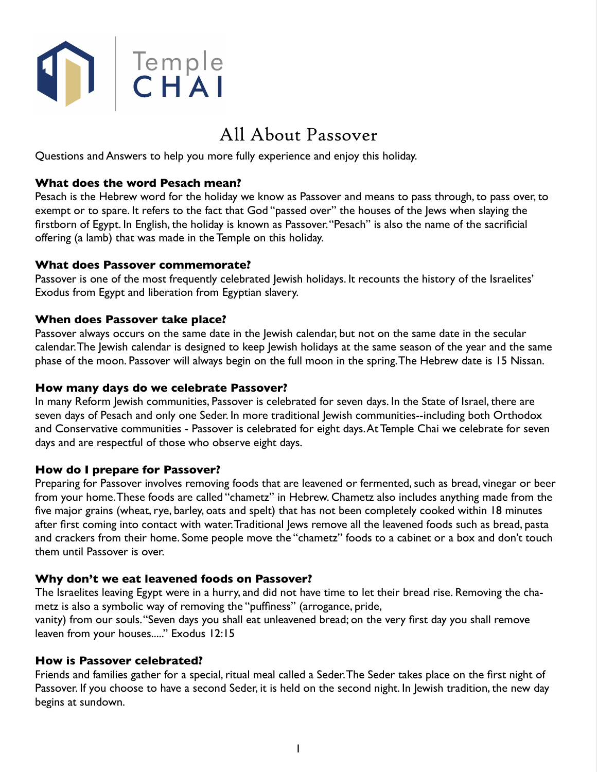

# All About Passover

Questions and Answers to help you more fully experience and enjoy this holiday.

#### **What does the word Pesach mean?**

Pesach is the Hebrew word for the holiday we know as Passover and means to pass through, to pass over, to exempt or to spare. It refers to the fact that God "passed over" the houses of the Jews when slaying the firstborn of Egypt. In English, the holiday is known as Passover. "Pesach" is also the name of the sacrificial offering (a lamb) that was made in the Temple on this holiday.

#### **What does Passover commemorate?**

Passover is one of the most frequently celebrated Jewish holidays. It recounts the history of the Israelites' Exodus from Egypt and liberation from Egyptian slavery.

#### **When does Passover take place?**

Passover always occurs on the same date in the Jewish calendar, but not on the same date in the secular calendar. The Jewish calendar is designed to keep Jewish holidays at the same season of the year and the same phase of the moon. Passover will always begin on the full moon in the spring. The Hebrew date is 15 Nissan.

#### **How many days do we celebrate Passover?**

In many Reform Jewish communities, Passover is celebrated for seven days. In the State of Israel, there are seven days of Pesach and only one Seder. In more traditional Jewish communities--including both Orthodox and Conservative communities - Passover is celebrated for eight days. At Temple Chai we celebrate for seven days and are respectful of those who observe eight days.

## **How do I prepare for Passover?**

Preparing for Passover involves removing foods that are leavened or fermented, such as bread, vinegar or beer from your home. These foods are called "chametz" in Hebrew. Chametz also includes anything made from the five major grains (wheat, rye, barley, oats and spelt) that has not been completely cooked within 18 minutes after first coming into contact with water. Traditional Jews remove all the leavened foods such as bread, pasta and crackers from their home. Some people move the "chametz" foods to a cabinet or a box and don't touch them until Passover is over.

## **Why don't we eat leavened foods on Passover?**

The Israelites leaving Egypt were in a hurry, and did not have time to let their bread rise. Removing the chametz is also a symbolic way of removing the "puffiness" (arrogance, pride,

vanity) from our souls. "Seven days you shall eat unleavened bread; on the very first day you shall remove leaven from your houses....." Exodus 12:15

#### **How is Passover celebrated?**

Friends and families gather for a special, ritual meal called a Seder. The Seder takes place on the first night of Passover. If you choose to have a second Seder, it is held on the second night. In Jewish tradition, the new day begins at sundown.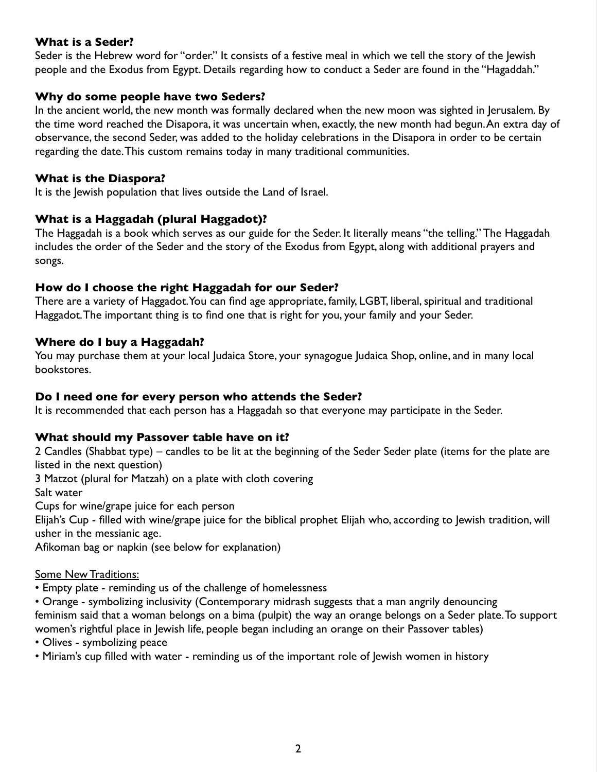## **What is a Seder?**

Seder is the Hebrew word for "order." It consists of a festive meal in which we tell the story of the lewish people and the Exodus from Egypt. Details regarding how to conduct a Seder are found in the "Hagaddah."

## **Why do some people have two Seders?**

In the ancient world, the new month was formally declared when the new moon was sighted in Jerusalem. By the time word reached the Disapora, it was uncertain when, exactly, the new month had begun. An extra day of observance, the second Seder, was added to the holiday celebrations in the Disapora in order to be certain regarding the date. This custom remains today in many traditional communities.

## **What is the Diaspora?**

It is the Jewish population that lives outside the Land of Israel.

# **What is a Haggadah (plural Haggadot)?**

The Haggadah is a book which serves as our guide for the Seder. It literally means "the telling." The Haggadah includes the order of the Seder and the story of the Exodus from Egypt, along with additional prayers and songs.

# **How do I choose the right Haggadah for our Seder?**

There are a variety of Haggadot. You can find age appropriate, family, LGBT, liberal, spiritual and traditional Haggadot. The important thing is to find one that is right for you, your family and your Seder.

# **Where do I buy a Haggadah?**

You may purchase them at your local Judaica Store, your synagogue Judaica Shop, online, and in many local bookstores.

# **Do I need one for every person who attends the Seder?**

It is recommended that each person has a Haggadah so that everyone may participate in the Seder.

# **What should my Passover table have on it?**

2 Candles (Shabbat type) – candles to be lit at the beginning of the Seder Seder plate (items for the plate are listed in the next question)

3 Matzot (plural for Matzah) on a plate with cloth covering

Salt water

Cups for wine/grape juice for each person

Elijah's Cup - filled with wine/grape juice for the biblical prophet Elijah who, according to Jewish tradition, will usher in the messianic age.

Afikoman bag or napkin (see below for explanation)

# Some New Traditions:

- Empty plate reminding us of the challenge of homelessness
- Orange symbolizing inclusivity (Contemporary midrash suggests that a man angrily denouncing

feminism said that a woman belongs on a bima (pulpit) the way an orange belongs on a Seder plate. To support women's rightful place in Jewish life, people began including an orange on their Passover tables)

- Olives symbolizing peace
- Miriam's cup filled with water reminding us of the important role of Jewish women in history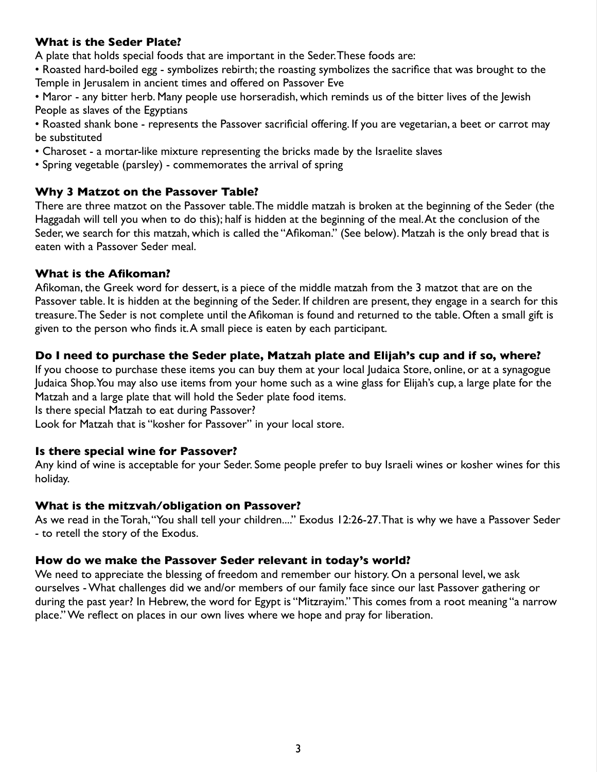## **What is the Seder Plate?**

A plate that holds special foods that are important in the Seder. These foods are:

• Roasted hard-boiled egg - symbolizes rebirth; the roasting symbolizes the sacrifice that was brought to the Temple in Jerusalem in ancient times and offered on Passover Eve

• Maror - any bitter herb. Many people use horseradish, which reminds us of the bitter lives of the Jewish People as slaves of the Egyptians

• Roasted shank bone - represents the Passover sacrificial offering. If you are vegetarian, a beet or carrot may be substituted

- Charoset a mortar-like mixture representing the bricks made by the Israelite slaves
- Spring vegetable (parsley) commemorates the arrival of spring

## **Why 3 Matzot on the Passover Table?**

There are three matzot on the Passover table. The middle matzah is broken at the beginning of the Seder (the Haggadah will tell you when to do this); half is hidden at the beginning of the meal. At the conclusion of the Seder, we search for this matzah, which is called the "Afikoman." (See below). Matzah is the only bread that is eaten with a Passover Seder meal.

#### **What is the Afikoman?**

Afikoman, the Greek word for dessert, is a piece of the middle matzah from the 3 matzot that are on the Passover table. It is hidden at the beginning of the Seder. If children are present, they engage in a search for this treasure. The Seder is not complete until the Afikoman is found and returned to the table. Often a small gift is given to the person who finds it. A small piece is eaten by each participant.

## **Do I need to purchase the Seder plate, Matzah plate and Elijah's cup and if so, where?**

If you choose to purchase these items you can buy them at your local Judaica Store, online, or at a synagogue Judaica Shop. You may also use items from your home such as a wine glass for Elijah's cup, a large plate for the Matzah and a large plate that will hold the Seder plate food items.

Is there special Matzah to eat during Passover?

Look for Matzah that is "kosher for Passover" in your local store.

#### **Is there special wine for Passover?**

Any kind of wine is acceptable for your Seder. Some people prefer to buy Israeli wines or kosher wines for this holiday.

#### **What is the mitzvah/obligation on Passover?**

As we read in the Torah, "You shall tell your children...." Exodus 12:26-27. That is why we have a Passover Seder - to retell the story of the Exodus.

#### **How do we make the Passover Seder relevant in today's world?**

We need to appreciate the blessing of freedom and remember our history. On a personal level, we ask ourselves - What challenges did we and/or members of our family face since our last Passover gathering or during the past year? In Hebrew, the word for Egypt is "Mitzrayim." This comes from a root meaning "a narrow place." We reflect on places in our own lives where we hope and pray for liberation.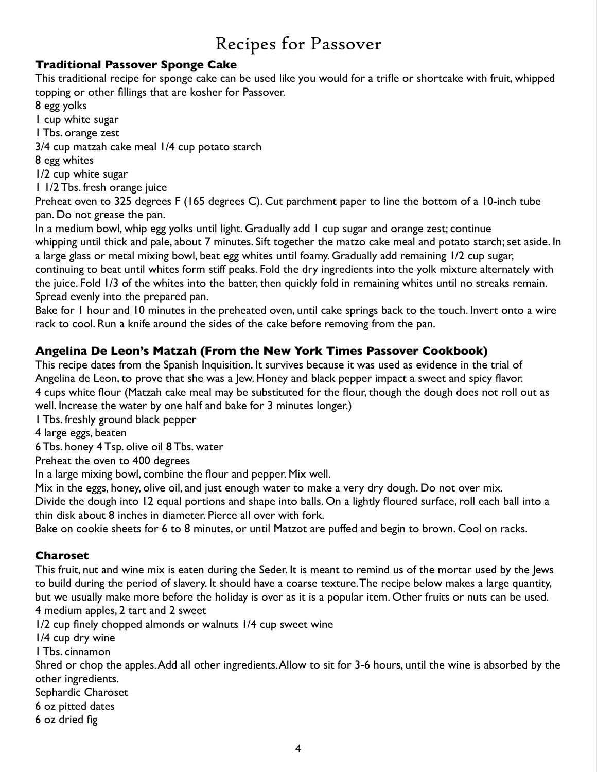# Recipes for Passover

# **Traditional Passover Sponge Cake**

This traditional recipe for sponge cake can be used like you would for a trifle or shortcake with fruit, whipped topping or other fillings that are kosher for Passover.

8 egg yolks

1 cup white sugar

1 Tbs. orange zest

3/4 cup matzah cake meal 1/4 cup potato starch

8 egg whites

1/2 cup white sugar

1 1/2 Tbs. fresh orange juice

Preheat oven to 325 degrees F (165 degrees C). Cut parchment paper to line the bottom of a 10-inch tube pan. Do not grease the pan.

In a medium bowl, whip egg yolks until light. Gradually add 1 cup sugar and orange zest; continue whipping until thick and pale, about 7 minutes. Sift together the matzo cake meal and potato starch; set aside. In a large glass or metal mixing bowl, beat egg whites until foamy. Gradually add remaining 1/2 cup sugar, continuing to beat until whites form stiff peaks. Fold the dry ingredients into the yolk mixture alternately with the juice. Fold 1/3 of the whites into the batter, then quickly fold in remaining whites until no streaks remain. Spread evenly into the prepared pan.

Bake for 1 hour and 10 minutes in the preheated oven, until cake springs back to the touch. Invert onto a wire rack to cool. Run a knife around the sides of the cake before removing from the pan.

# **Angelina De Leon's Matzah (From the New York Times Passover Cookbook)**

This recipe dates from the Spanish Inquisition. It survives because it was used as evidence in the trial of Angelina de Leon, to prove that she was a Jew. Honey and black pepper impact a sweet and spicy flavor. 4 cups white flour (Matzah cake meal may be substituted for the flour, though the dough does not roll out as well. Increase the water by one half and bake for 3 minutes longer.)

1 Tbs. freshly ground black pepper

4 large eggs, beaten

6 Tbs. honey 4 Tsp. olive oil 8 Tbs. water

Preheat the oven to 400 degrees

In a large mixing bowl, combine the flour and pepper. Mix well.

Mix in the eggs, honey, olive oil, and just enough water to make a very dry dough. Do not over mix.

Divide the dough into 12 equal portions and shape into balls. On a lightly floured surface, roll each ball into a thin disk about 8 inches in diameter. Pierce all over with fork.

Bake on cookie sheets for 6 to 8 minutes, or until Matzot are puffed and begin to brown. Cool on racks.

# **Charoset**

This fruit, nut and wine mix is eaten during the Seder. It is meant to remind us of the mortar used by the Jews to build during the period of slavery. It should have a coarse texture. The recipe below makes a large quantity, but we usually make more before the holiday is over as it is a popular item. Other fruits or nuts can be used. 4 medium apples, 2 tart and 2 sweet

1/2 cup finely chopped almonds or walnuts 1/4 cup sweet wine

1/4 cup dry wine

1 Tbs. cinnamon

Shred or chop the apples. Add all other ingredients. Allow to sit for 3-6 hours, until the wine is absorbed by the other ingredients.

Sephardic Charoset

6 oz pitted dates

6 oz dried fig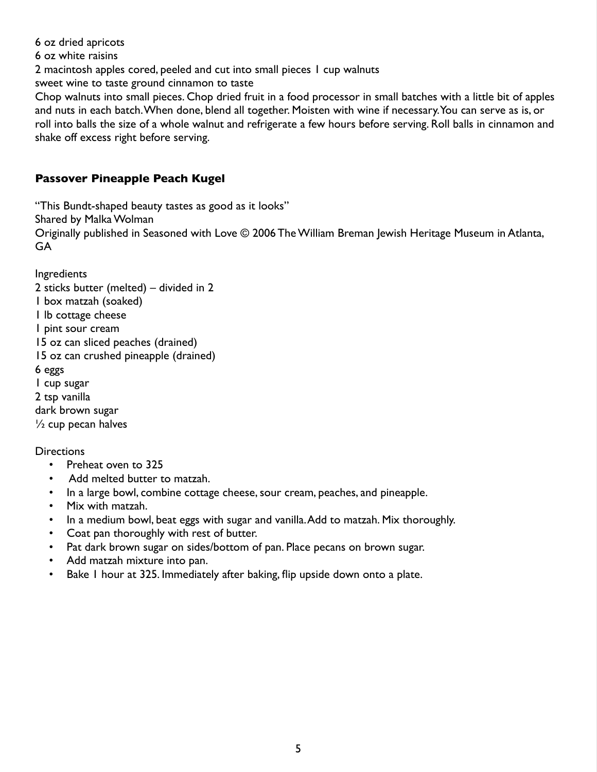6 oz dried apricots 6 oz white raisins 2 macintosh apples cored, peeled and cut into small pieces 1 cup walnuts sweet wine to taste ground cinnamon to taste Chop walnuts into small pieces. Chop dried fruit in a food processor in small batches with a little bit of apples and nuts in each batch. When done, blend all together. Moisten with wine if necessary. You can serve as is, or roll into balls the size of a whole walnut and refrigerate a few hours before serving. Roll balls in cinnamon and shake off excess right before serving.

# **Passover Pineapple Peach Kugel**

"This Bundt-shaped beauty tastes as good as it looks" Shared by Malka Wolman Originally published in Seasoned with Love © 2006 The William Breman Jewish Heritage Museum in Atlanta, GA

Ingredients 2 sticks butter (melted) – divided in 2 1 box matzah (soaked) 1 lb cottage cheese 1 pint sour cream 15 oz can sliced peaches (drained) 15 oz can crushed pineapple (drained) 6 eggs 1 cup sugar 2 tsp vanilla dark brown sugar ½ cup pecan halves

**Directions** 

- Preheat oven to 325
- Add melted butter to matzah.
- In a large bowl, combine cottage cheese, sour cream, peaches, and pineapple.
- Mix with matzah.
- In a medium bowl, beat eggs with sugar and vanilla. Add to matzah. Mix thoroughly.
- Coat pan thoroughly with rest of butter.
- Pat dark brown sugar on sides/bottom of pan. Place pecans on brown sugar.
- Add matzah mixture into pan.
- Bake 1 hour at 325. Immediately after baking, flip upside down onto a plate.